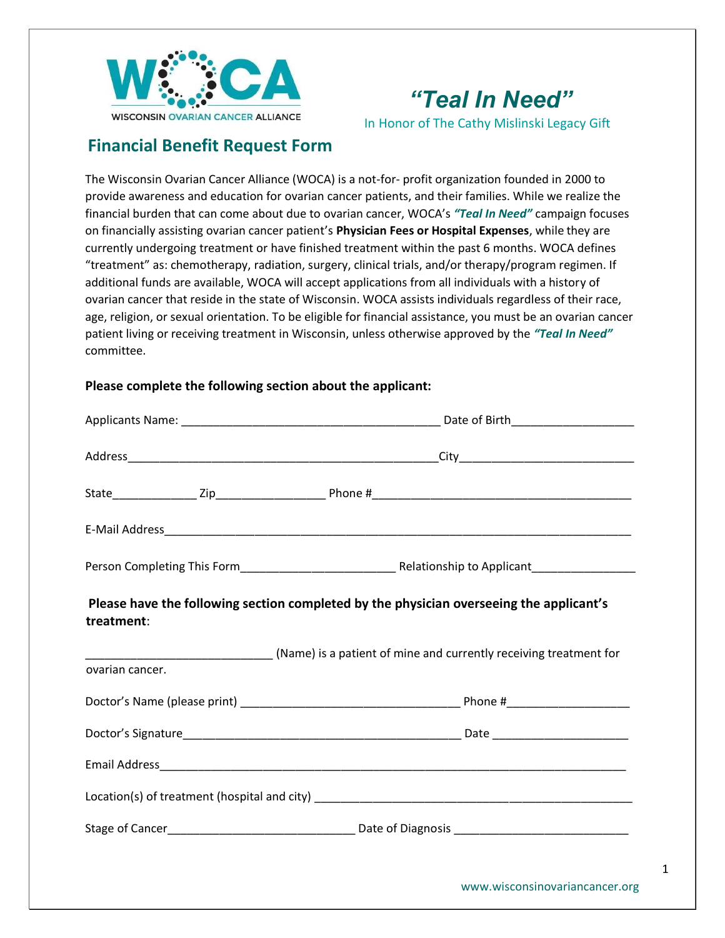

# *"Teal In Need"*

In Honor of The Cathy Mislinski Legacy Gift

# **Financial Benefit Request Form**

The Wisconsin Ovarian Cancer Alliance (WOCA) is a not-for- profit organization founded in 2000 to provide awareness and education for ovarian cancer patients, and their families. While we realize the financial burden that can come about due to ovarian cancer, WOCA's *"Teal In Need"* campaign focuses on financially assisting ovarian cancer patient's **Physician Fees or Hospital Expenses**, while they are currently undergoing treatment or have finished treatment within the past 6 months. WOCA defines "treatment" as: chemotherapy, radiation, surgery, clinical trials, and/or therapy/program regimen. If additional funds are available, WOCA will accept applications from all individuals with a history of ovarian cancer that reside in the state of Wisconsin. WOCA assists individuals regardless of their race, age, religion, or sexual orientation. To be eligible for financial assistance, you must be an ovarian cancer patient living or receiving treatment in Wisconsin, unless otherwise approved by the *"Teal In Need"* committee.

#### **Please complete the following section about the applicant:**

| treatment:      |  | Please have the following section completed by the physician overseeing the applicant's |  |  |
|-----------------|--|-----------------------------------------------------------------------------------------|--|--|
| ovarian cancer. |  | (Name) is a patient of mine and currently receiving treatment for                       |  |  |
|                 |  |                                                                                         |  |  |
|                 |  |                                                                                         |  |  |
|                 |  |                                                                                         |  |  |
|                 |  |                                                                                         |  |  |
|                 |  |                                                                                         |  |  |
|                 |  |                                                                                         |  |  |
|                 |  |                                                                                         |  |  |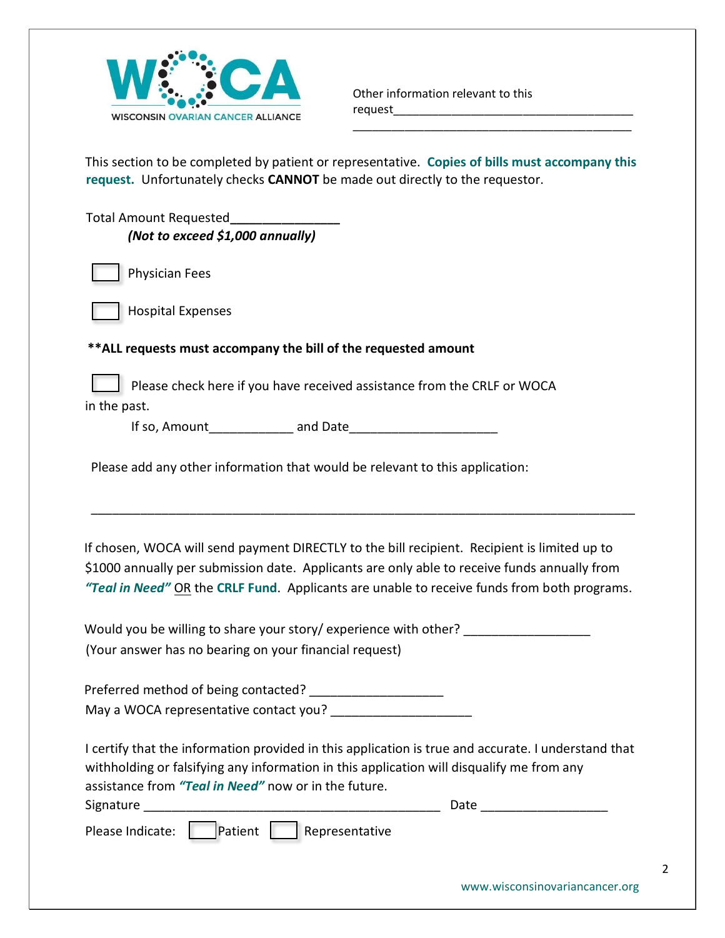

\_\_\_\_\_\_\_\_\_\_\_\_\_\_\_\_\_\_\_\_\_\_\_\_\_\_\_\_\_\_\_\_\_\_\_\_\_\_\_\_\_\_\_

This section to be completed by patient or representative. **Copies of bills must accompany this request.** Unfortunately checks **CANNOT** be made out directly to the requestor.

Total Amount Requested**\_\_\_\_\_\_\_\_\_\_\_\_\_\_\_\_\_**  *(Not to exceed \$1,000 annually)* 



Physician Fees

Hospital Expenses

### **\*\*ALL requests must accompany the bill of the requested amount**

Please check here if you have received assistance from the CRLF or WOCA in the past.

If so, Amount\_\_\_\_\_\_\_\_\_\_\_\_ and Date\_\_\_\_\_\_\_\_\_\_\_\_\_\_\_\_\_\_\_\_\_

Please add any other information that would be relevant to this application:

If chosen, WOCA will send payment DIRECTLY to the bill recipient. Recipient is limited up to \$1000 annually per submission date. Applicants are only able to receive funds annually from *"Teal in Need"* OR the **CRLF Fund**. Applicants are unable to receive funds from both programs.

\_\_\_\_\_\_\_\_\_\_\_\_\_\_\_\_\_\_\_\_\_\_\_\_\_\_\_\_\_\_\_\_\_\_\_\_\_\_\_\_\_\_\_\_\_\_\_\_\_\_\_\_\_\_\_\_\_\_\_\_\_\_\_\_\_\_\_\_\_\_\_\_\_\_\_\_\_

Would you be willing to share your story/ experience with other? (Your answer has no bearing on your financial request)

Preferred method of being contacted? \_\_\_\_\_\_\_\_\_\_\_\_\_\_\_\_\_\_\_\_\_\_ May a WOCA representative contact you?

I certify that the information provided in this application is true and accurate. I understand that withholding or falsifying any information in this application will disqualify me from any assistance from *"Teal in Need"* now or in the future.

| Signature |  |  | Date |
|-----------|--|--|------|
|           |  |  |      |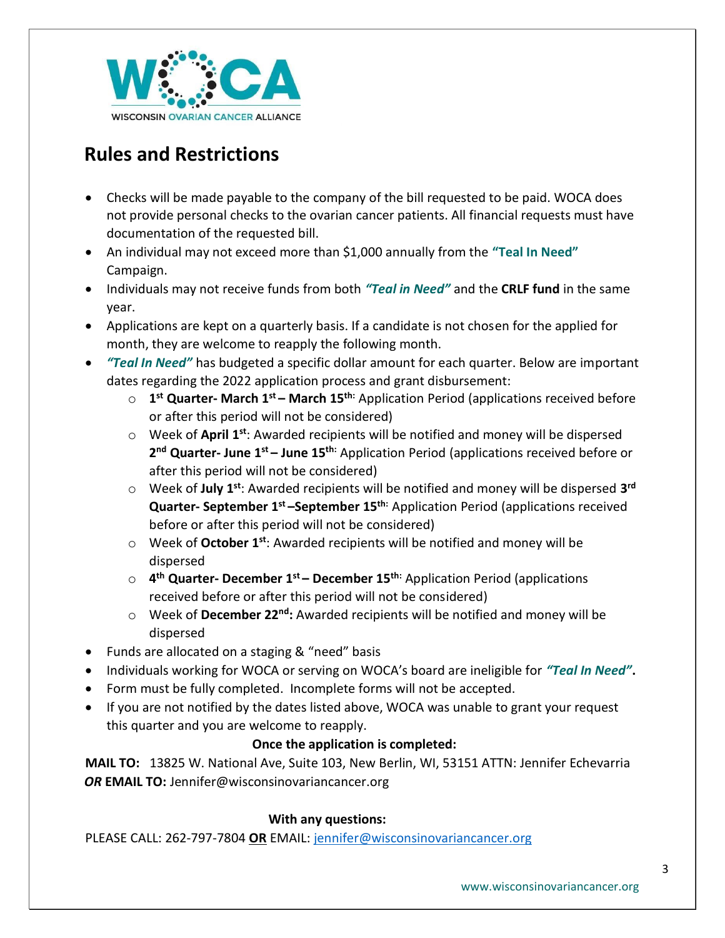

# **Rules and Restrictions**

- Checks will be made payable to the company of the bill requested to be paid. WOCA does not provide personal checks to the ovarian cancer patients. All financial requests must have documentation of the requested bill.
- An individual may not exceed more than \$1,000 annually from the **"Teal In Need"** Campaign.
- Individuals may not receive funds from both *"Teal in Need"* and the **CRLF fund** in the same year.
- Applications are kept on a quarterly basis. If a candidate is not chosen for the applied for month, they are welcome to reapply the following month.
- *"Teal In Need"* has budgeted a specific dollar amount for each quarter. Below are important dates regarding the 2022 application process and grant disbursement:
	- o **1 st Quarter- March 1st – March 15th:** Application Period (applications received before or after this period will not be considered)
	- o Week of **April 1st**: Awarded recipients will be notified and money will be dispersed **2 nd Quarter- June 1st – June 15th:** Application Period (applications received before or after this period will not be considered)
	- o Week of **July 1st**: Awarded recipients will be notified and money will be dispersed **3 rd Quarter- September 1st –September 15th:** Application Period (applications received before or after this period will not be considered)
	- o Week of **October 1st**: Awarded recipients will be notified and money will be dispersed
	- o **4 th Quarter- December 1st – December 15th:** Application Period (applications received before or after this period will not be considered)
	- o Week of **December 22nd:** Awarded recipients will be notified and money will be dispersed
- Funds are allocated on a staging & "need" basis
- Individuals working for WOCA or serving on WOCA's board are ineligible for *"Teal In Need"***.**
- Form must be fully completed. Incomplete forms will not be accepted.
- If you are not notified by the dates listed above, WOCA was unable to grant your request this quarter and you are welcome to reapply.

## **Once the application is completed:**

**MAIL TO:** 13825 W. National Ave, Suite 103, New Berlin, WI, 53151 ATTN: Jennifer Echevarria *OR* **EMAIL TO:** Jennifer@wisconsinovariancancer.org

## **With any questions:**

PLEASE CALL: 262-797-7804 **OR** EMAIL: [jennifer@wisconsinovariancancer.org](mailto:jennifer@wisconsinovariancancer.org)